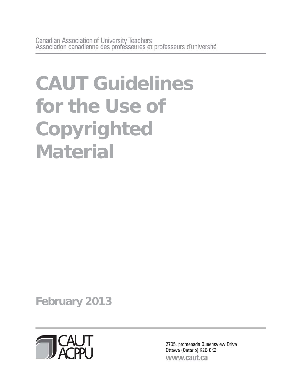# **CAUT Guidelines for the Use of Copyrighted Material**

**February 2013** 



2705, promenade Queensview Drive Ottawa (Ontario) K2B 8K2 www.caut.ca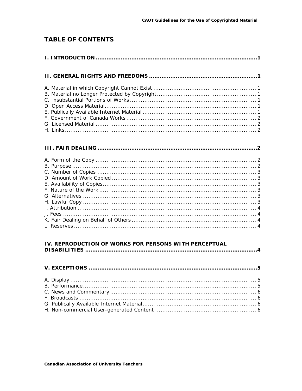# **TABLE OF CONTENTS**

| IV. REPRODUCTION OF WORKS FOR PERSONS WITH PERCEPTUAL |  |
|-------------------------------------------------------|--|
|                                                       |  |
|                                                       |  |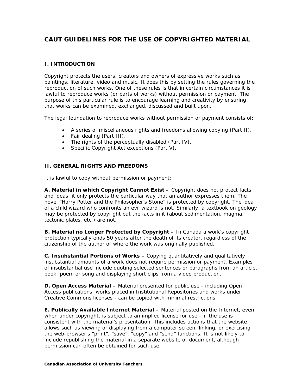# **CAUT GUIDELINES FOR THE USE OF COPYRIGHTED MATERIAL**

# **I. INTRODUCTION**

Copyright protects the users, creators and owners of expressive works such as paintings, literature, video and music. It does this by setting the rules governing the reproduction of such works. One of these rules is that in certain circumstances it is lawful to reproduce works (or parts of works) without permission or payment. The purpose of this particular rule is to encourage learning and creativity by ensuring that works can be examined, exchanged, discussed and built upon.

The legal foundation to reproduce works without permission or payment consists of:

- A series of miscellaneous rights and freedoms allowing copying (Part II).
- Fair dealing (Part III).
- The rights of the perceptually disabled (Part IV).
- Specific *Copyright Act* exceptions (Part V).

# **II. GENERAL RIGHTS AND FREEDOMS**

It is lawful to copy without permission or payment:

**A. Material in which Copyright Cannot Exist –** Copyright does not protect facts and ideas, it only protects the particular way that an author expresses them. The novel "Harry Potter and the Philosopher's Stone" is protected by copyright. The idea of a child wizard who confronts an evil wizard is not. Similarly, a textbook on geology may be protected by copyright but the facts in it (about sedimentation, magma, tectonic plates, etc.) are not.

**B. Material no Longer Protected by Copyright –** In Canada a work's copyright protection typically ends 50 years after the death of its creator, regardless of the citizenship of the author or where the work was originally published.

**C. Insubstantial Portions of Works –** Copying quantitatively and qualitatively insubstantial amounts of a work does not require permission or payment. Examples of insubstantial use include quoting selected sentences or paragraphs from an article, book, poem or song and displaying short clips from a video production.

**D. Open Access Material –** Material presented for public use - including Open Access publications, works placed in Institutional Repositories and works under Creative Commons licenses - can be copied with minimal restrictions.

**E. Publically Available Internet Material –** Material posted on the Internet, even when under copyright, is subject to an implied license for use – if the use is consistent with the material's presentation. This includes actions that the website allows such as viewing or displaying from a computer screen, linking, or exercising the web-browser's "print", "save", "copy" and "send" functions. It is not likely to include republishing the material in a separate website or document, although permission can often be obtained for such use.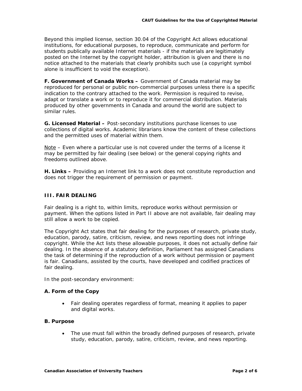Beyond this implied license, section 30.04 of the *Copyright Act* allows educational institutions, for educational purposes, to reproduce, communicate and perform for students publically available Internet materials - if the materials are legitimately posted on the Internet by the copyright holder, attribution is given and there is no notice attached to the materials that clearly prohibits such use (a copyright symbol alone is insufficient to void the exception).

**F. Government of Canada Works –** Government of Canada material may be reproduced for personal or public non-commercial purposes unless there is a specific indication to the contrary attached to the work. Permission is required to revise, adapt or translate a work or to reproduce it for commercial distribution. Materials produced by other governments in Canada and around the world are subject to similar rules.

**G. Licensed Material –** Post-secondary institutions purchase licenses to use collections of digital works. Academic librarians know the content of these collections and the permitted uses of material within them.

Note – Even where a particular use is not covered under the terms of a license it may be permitted by fair dealing (see below) or the general copying rights and freedoms outlined above.

**H. Links –** Providing an Internet link to a work does not constitute reproduction and does not trigger the requirement of permission or payment.

# **III. FAIR DEALING**

Fair dealing is a right to, within limits, reproduce works without permission or payment. When the options listed in Part II above are not available, fair dealing may still allow a work to be copied.

The *Copyright Act* states that fair dealing for the purposes of research, private study, education, parody, satire, criticism, review, and news reporting does not infringe copyright. While the Act lists these allowable purposes, it does not actually define fair dealing. In the absence of a statutory definition, Parliament has assigned Canadians the task of determining if the reproduction of a work without permission or payment is fair. Canadians, assisted by the courts, have developed and codified practices of fair dealing.

In the post-secondary environment:

#### **A. Form of the Copy**

 Fair dealing operates regardless of format, meaning it applies to paper and digital works.

#### **B. Purpose**

• The use must fall within the broadly defined purposes of research, private study, education, parody, satire, criticism, review, and news reporting.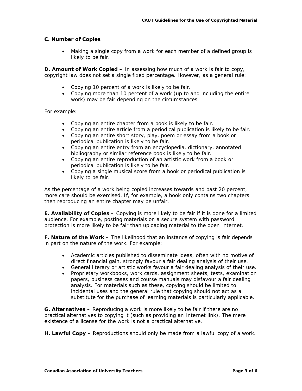# **C. Number of Copies**

 Making a single copy from a work for each member of a defined group is likely to be fair.

**D. Amount of Work Copied –** In assessing how much of a work is fair to copy, copyright law does not set a single fixed percentage. However, as a general rule:

- Copying 10 percent of a work is likely to be fair.
- Copying more than 10 percent of a work (up to and including the entire work) may be fair depending on the circumstances.

For example:

- Copying an entire chapter from a book is likely to be fair.
- Copying an entire article from a periodical publication is likely to be fair.
- Copying an entire short story, play, poem or essay from a book or periodical publication is likely to be fair.
- Copying an entire entry from an encyclopedia, dictionary, annotated bibliography or similar reference book is likely to be fair.
- Copying an entire reproduction of an artistic work from a book or periodical publication is likely to be fair.
- Copying a single musical score from a book or periodical publication is likely to be fair.

As the percentage of a work being copied increases towards and past 20 percent, more care should be exercised. If, for example, a book only contains two chapters then reproducing an entire chapter may be unfair.

**E. Availability of Copies –** Copying is more likely to be fair if it is done for a limited audience. For example, posting materials on a secure system with password protection is more likely to be fair than uploading material to the open Internet.

**F. Nature of the Work –** The likelihood that an instance of copying is fair depends in part on the nature of the work. For example:

- Academic articles published to disseminate ideas, often with no motive of direct financial gain, strongly favour a fair dealing analysis of their use.
- General literary or artistic works favour a fair dealing analysis of their use.
- Proprietary workbooks, work cards, assignment sheets, tests, examination papers, business cases and course manuals may disfavour a fair dealing analysis. For materials such as these, copying should be limited to incidental uses and the general rule that copying should not act as a substitute for the purchase of learning materials is particularly applicable.

**G. Alternatives –** Reproducing a work is more likely to be fair if there are no practical alternatives to copying it (such as providing an Internet link). The mere existence of a license for the work is not a practical alternative.

**H. Lawful Copy –** Reproductions should only be made from a lawful copy of a work.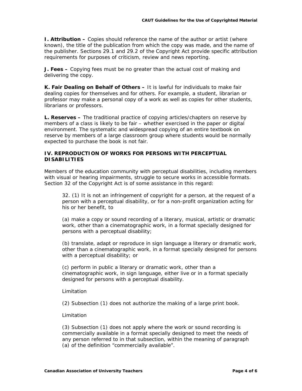**I. Attribution –** Copies should reference the name of the author or artist (where known), the title of the publication from which the copy was made, and the name of the publisher. Sections 29.1 and 29.2 of the *Copyright Act* provide specific attribution requirements for purposes of criticism, review and news reporting.

**J. Fees –** Copying fees must be no greater than the actual cost of making and delivering the copy.

**K. Fair Dealing on Behalf of Others –** It is lawful for individuals to make fair dealing copies for themselves and for others. For example, a student, librarian or professor may make a personal copy of a work as well as copies for other students, librarians or professors.

**L. Reserves –** The traditional practice of copying articles/chapters on reserve by members of a class is likely to be fair – whether exercised in the paper or digital environment. The systematic and widespread copying of an entire textbook on reserve by members of a large classroom group where students would be normally expected to purchase the book is not fair.

# **IV. REPRODUCTION OF WORKS FOR PERSONS WITH PERCEPTUAL DISABILITIES**

Members of the education community with perceptual disabilities, including members with visual or hearing impairments, struggle to secure works in accessible formats. Section 32 of the *Copyright Act* is of some assistance in this regard:

32. (1) It is not an infringement of copyright for a person, at the request of a person with a perceptual disability, or for a non-profit organization acting for his or her benefit, to

(a) make a copy or sound recording of a literary, musical, artistic or dramatic work, other than a cinematographic work, in a format specially designed for persons with a perceptual disability;

(b) translate, adapt or reproduce in sign language a literary or dramatic work, other than a cinematographic work, in a format specially designed for persons with a perceptual disability; or

(c) perform in public a literary or dramatic work, other than a cinematographic work, in sign language, either live or in a format specially designed for persons with a perceptual disability.

#### Limitation

(2) Subsection (1) does not authorize the making of a large print book.

#### Limitation

(3) Subsection (1) does not apply where the work or sound recording is commercially available in a format specially designed to meet the needs of any person referred to in that subsection, within the meaning of paragraph (a) of the definition "commercially available".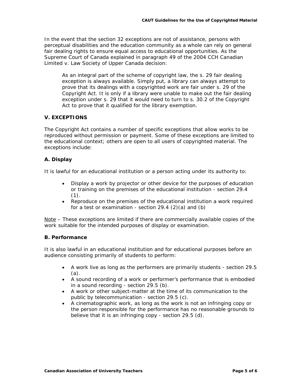In the event that the section 32 exceptions are not of assistance, persons with perceptual disabilities and the education community as a whole can rely on general fair dealing rights to ensure equal access to educational opportunities. As the Supreme Court of Canada explained in paragraph 49 of the 2004 *CCH Canadian Limited v. Law Society of Upper Canada* decision:

As an integral part of the scheme of copyright law, the s. 29 fair dealing exception is always available. Simply put, a library can always attempt to prove that its dealings with a copyrighted work are fair under s. 29 of the *Copyright Act*. It is only if a library were unable to make out the fair dealing exception under s. 29 that it would need to turn to s. 30.2 of the *Copyright Act* to prove that it qualified for the library exemption.

## **V. EXCEPTIONS**

The *Copyright Act* contains a number of specific exceptions that allow works to be reproduced without permission or payment. Some of these exceptions are limited to the educational context; others are open to all users of copyrighted material. The exceptions include:

## **A. Display**

It is lawful for an educational institution or a person acting under its authority to:

- Display a work by projector or other device for the purposes of education or training on the premises of the educational institution - section 29.4  $(1).$
- Reproduce on the premises of the educational institution a work required for a test or examination - section  $29.4$   $(2)(a)$  and  $(b)$

Note – These exceptions are limited if there are commercially available copies of the work suitable for the intended purposes of display or examination.

#### **B. Performance**

It is also lawful in an educational institution and for educational purposes before an audience consisting primarily of students to perform:

- A work live as long as the performers are primarily students section 29.5 (a).
- A sound recording of a work or performer's performance that is embodied in a sound recording - section 29.5 (b).
- A work or other subject-matter at the time of its communication to the public by telecommunication - section 29.5 (c).
- A cinematographic work, as long as the work is not an infringing copy or the person responsible for the performance has no reasonable grounds to believe that it is an infringing copy - section 29.5 (d).